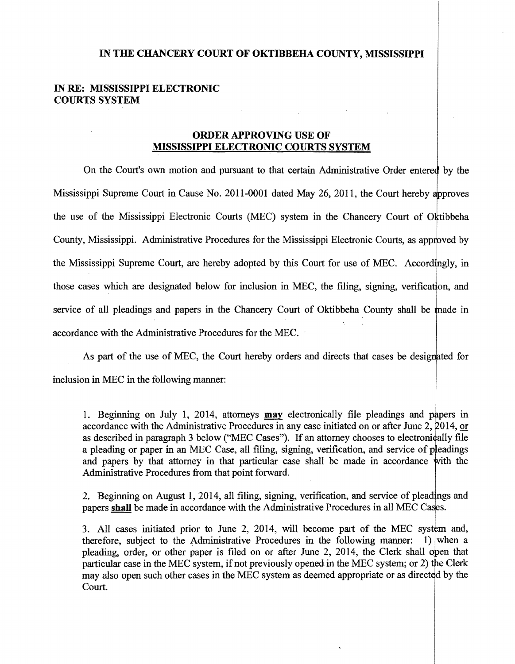## **IN THE CHANCERY COURT OF OKTIBBEHA COUNTY, MISSISSIPPI**

## **IN RE: MISSISSIPPI ELECTRONIC COURTS SYSTEM**

## **ORDER APPROVING USE OF MISSISSIPPI ELECTRONIC COURTS SYSTEM**

On the Court's own motion and pursuant to that certain Administrative Order entered by the Mississippi Supreme Court in Cause No. 2011-0001 dated May 26, 2011, the Court hereby approves the use of the Mississippi Electronic Courts (MEC) system in the Chancery Court of Oktibbeha County, Mississippi. Administrative Procedures for the Mississippi Electronic Courts, as app the Mississippi Supreme Court, are hereby adopted by this Court for use of MEC. Accordingly, in those cases which are designated below for inclusion in MEC, the filing, signing, verification, and service of all pleadings and papers in the Chancery Court of Oktibbeha County shall be made in accordance with the Administrative Procedures for the MEC.

As part of the use of MEC, the Court hereby orders and directs that cases be designated for inclusion in MEC in the following manner:

and papers by that attorney in that particular case shall be made in accordance with the 1. Beginning on July 1, 2014, attorneys **may** electronically file pleadings and papers in accordance with the Administrative Procedures in any case initiated on or after June  $2, 2014$ , or as described in paragraph 3 below ("MEC Cases"). If an attorney chooses to electronically file a pleading or paper in an MEC Case, all filing, signing, verification, and service of pleadings Administrative Procedures from that point forward.

2. Beginning on August 1, 2014, all filing, signing, verification, and service of pleadings and papers **shall** be made in accordance with the Administrative Procedures in all MEC C

3. All cases initiated prior to June 2, 2014, will become part of the MEC system and, therefore, subject to the Administrative Procedures in the following manner: 1) when a pleading, order, or other paper is filed on or after June 2, 2014, the Clerk shall open that particular case in the MEC system, if not previously opened in the MEC system; or 2) the Clerk may also open such other cases in the MEC system as deemed appropriate or as directed by the Court.